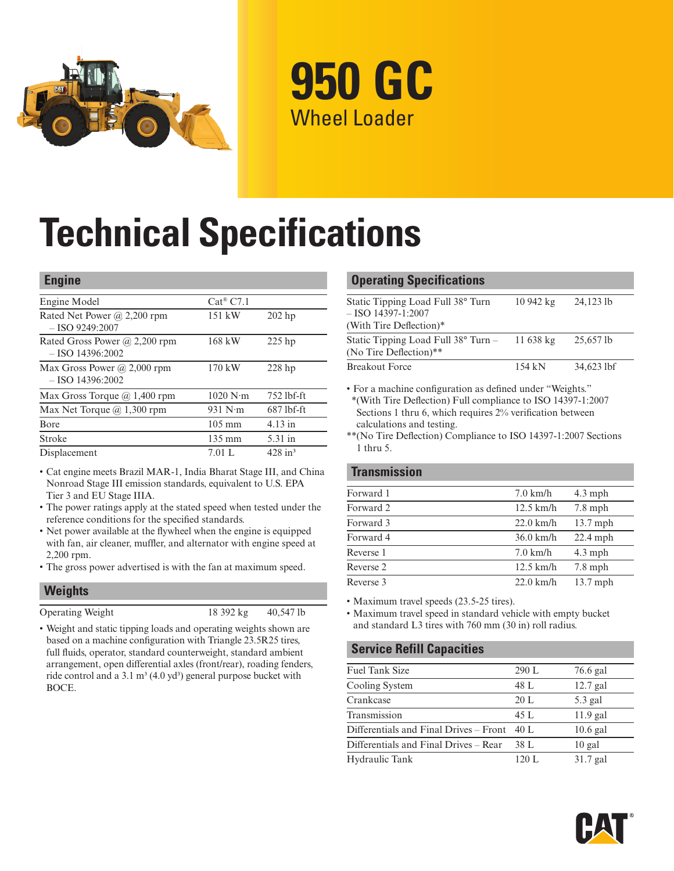

**950 GC** Wheel Loader

# **Technical Specifications**

#### **Engine**

| Engine Model                                          | $Cat^{\circledR}$ C7.1          |                       |
|-------------------------------------------------------|---------------------------------|-----------------------|
| Rated Net Power $(a)$ 2,200 rpm<br>$-$ ISO 9249:2007  | $151$ kW                        | $202$ hp              |
| Rated Gross Power @ 2,200 rpm<br>$-$ ISO 14396:2002   | 168 kW                          | $225$ hp              |
| Max Gross Power $(a)$ 2,000 rpm<br>$-$ ISO 14396:2002 | $170$ kW                        | $228$ hp              |
| Max Gross Torque $(a)$ 1,400 rpm                      | $1020 \text{ N} \cdot \text{m}$ | 752 lbf-ft            |
| Max Net Torque $(a)$ 1,300 rpm                        | 931 $N \cdot m$                 | $687$ lbf-ft          |
| Bore                                                  | $105 \text{ mm}$                | $4.13$ in             |
| Stroke                                                | $135 \text{ mm}$                | 5.31 in               |
| Displacement                                          | 7.01 L                          | $428$ in <sup>3</sup> |

- Cat engine meets Brazil MAR-1, India Bharat Stage III, and China Nonroad Stage III emission standards, equivalent to U.S. EPA Tier 3 and EU Stage IIIA.
- The power ratings apply at the stated speed when tested under the reference conditions for the specified standards.
- Net power available at the flywheel when the engine is equipped with fan, air cleaner, muffler, and alternator with engine speed at 2,200 rpm.
- The gross power advertised is with the fan at maximum speed.

#### **Weights**

| Operating Weigh |  |  |
|-----------------|--|--|
|                 |  |  |

 $18392 \text{ kg}$   $40,547 \text{ lb}$ 

• Weight and static tipping loads and operating weights shown are based on a machine configuration with Triangle 23.5R25 tires, full fluids, operator, standard counterweight, standard ambient arrangement, open differential axles (front/rear), roading fenders, ride control and a 3.1 m<sup>3</sup> (4.0 yd<sup>3</sup>) general purpose bucket with BOCE.

#### **Operating Specifications**

| Static Tipping Load Full 38° Turn<br>$-$ ISO 14397-1:2007<br>(With Tire Deflection)* | $10942 \text{ kg}$ | 24,123 lb    |
|--------------------------------------------------------------------------------------|--------------------|--------------|
| Static Tipping Load Full $38^{\circ}$ Turn –<br>(No Tire Deflection)**               | 11.638 kg          | 25,657 lb    |
| <b>Breakout Force</b>                                                                | 154 kN             | $34,623$ lbf |

• For a machine configuration as defined under "Weights." \*(With Tire Deflection) Full compliance to ISO 14397-1:2007 Sections 1 thru 6, which requires 2% verification between calculations and testing.

\*\*(No Tire Deflection) Compliance to ISO 14397-1:2007 Sections 1 thru 5.

| $7.0$ km/h         | $4.3$ mph  |
|--------------------|------------|
| $12.5$ km/h        | $7.8$ mph  |
| $22.0$ km/h        | $13.7$ mph |
| $36.0$ km/h        | $22.4$ mph |
| $7.0 \text{ km/h}$ | $4.3$ mph  |
| $12.5$ km/h        | $7.8$ mph  |
| $22.0$ km/h        | $13.7$ mph |
|                    |            |

• Maximum travel speeds (23.5-25 tires).

• Maximum travel speed in standard vehicle with empty bucket and standard L3 tires with 760 mm (30 in) roll radius.

#### **Service Refill Capacities**

| <b>Fuel Tank Size</b>                  | 290 L | 76.6 gal   |
|----------------------------------------|-------|------------|
| Cooling System                         | 48 L  | $12.7$ gal |
| Crankcase                              | 20L   | $5.3$ gal  |
| Transmission                           | 45 L  | $11.9$ gal |
| Differentials and Final Drives – Front | 40 L  | $10.6$ gal |
| Differentials and Final Drives – Rear  | 38 L  | $10$ gal   |
| Hydraulic Tank                         | 120 L | $31.7$ gal |

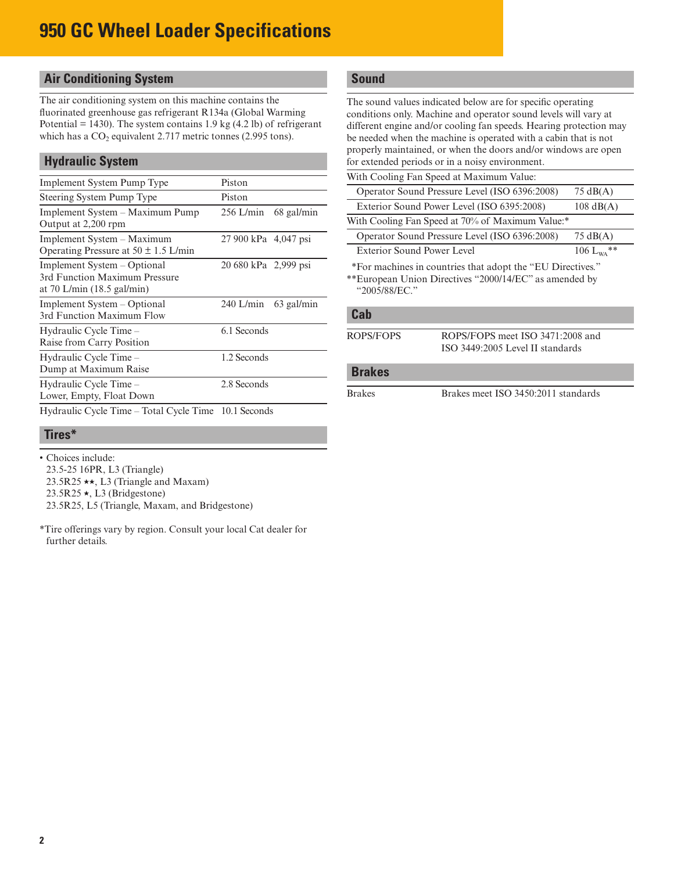# **950 GC Wheel Loader Specifications**

# **Air Conditioning System**

The air conditioning system on this machine contains the fluorinated greenhouse gas refrigerant R134a (Global Warming Potential  $= 1430$ ). The system contains 1.9 kg  $(4.2 1b)$  of refrigerant which has a  $CO<sub>2</sub>$  equivalent 2.717 metric tonnes (2.995 tons).

## **Hydraulic System**

| <b>Implement System Pump Type</b>                                                                    | Piston               |              |  |  |  |  |  |
|------------------------------------------------------------------------------------------------------|----------------------|--------------|--|--|--|--|--|
| Steering System Pump Type                                                                            | Piston               |              |  |  |  |  |  |
| Implement System – Maximum Pump<br>Output at 2,200 rpm                                               | $256$ L/min          | 68 gal/min   |  |  |  |  |  |
| Implement System – Maximum<br>Operating Pressure at $50 \pm 1.5$ L/min                               | 27 900 kPa 4,047 psi |              |  |  |  |  |  |
| Implement System – Optional<br>3rd Function Maximum Pressure<br>at 70 L/min $(18.5 \text{ gal/min})$ | 20 680 kPa 2,999 psi |              |  |  |  |  |  |
| Implement System – Optional<br>3rd Function Maximum Flow                                             | $240$ L/min          | $63$ gal/min |  |  |  |  |  |
| Hydraulic Cycle Time -<br>Raise from Carry Position                                                  | 6.1 Seconds          |              |  |  |  |  |  |
| Hydraulic Cycle Time –<br>Dump at Maximum Raise                                                      | 1.2 Seconds          |              |  |  |  |  |  |
| Hydraulic Cycle Time –<br>Lower, Empty, Float Down                                                   | 2.8 Seconds          |              |  |  |  |  |  |
| Hydraulic Cycle Time – Total Cycle Time 10.1 Seconds                                                 |                      |              |  |  |  |  |  |

#### **Tires\***

- Choices include:
- 23.5-25 16PR, L3 (Triangle)
- 23.5R25  $\star\star$ , L3 (Triangle and Maxam)
- $23.5R25 \star$ , L3 (Bridgestone)
- 23.5R25, L5 (Triangle, Maxam, and Bridgestone)
- \*Tire offerings vary by region. Consult your local Cat dealer for further details.

# **Sound**

The sound values indicated below are for specific operating conditions only. Machine and operator sound levels will vary at different engine and/or cooling fan speeds. Hearing protection may be needed when the machine is operated with a cabin that is not properly maintained, or when the doors and/or windows are open for extended periods or in a noisy environment.

| With Cooling Fan Speed at Maximum Value:                   |                     |
|------------------------------------------------------------|---------------------|
| Operator Sound Pressure Level (ISO 6396:2008)              | $75 \text{ dB}(A)$  |
| Exterior Sound Power Level (ISO 6395:2008)                 | $108 \text{ dB}(A)$ |
| With Cooling Fan Speed at 70% of Maximum Value:*           |                     |
| Operator Sound Pressure Level (ISO 6396:2008)              | $75 \text{ dB}(A)$  |
| Exterior Sound Power Level                                 | 106 $L_{WA}$ **     |
| *For machines in countries that adopt the "FII Directives" |                     |

For machines in countries that adopt the "EU Directives." \*\*European Union Directives "2000/14/EC" as amended by "2005/88/EC."

#### **Cab**

- 
- ROPS/FOPS ROPS/FOPS meet ISO 3471:2008 and ISO 3449:2005 Level II standards

#### **Brakes**

Brakes Brakes meet ISO 3450:2011 standards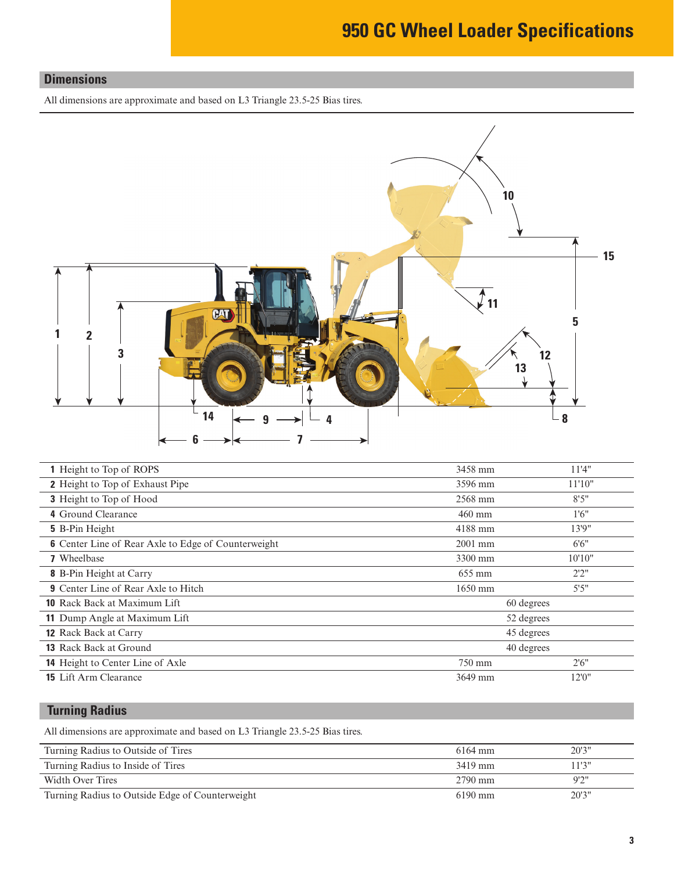# **950 GC Wheel Loader Specifications**

## **Dimensions**

All dimensions are approximate and based on L3 Triangle 23.5-25 Bias tires.



| 1 Height to Top of ROPS                                    | 3458 mm    | 11'4"  |  |  |  |  |
|------------------------------------------------------------|------------|--------|--|--|--|--|
| <b>2</b> Height to Top of Exhaust Pipe                     | 3596 mm    | 11'10" |  |  |  |  |
| <b>3</b> Height to Top of Hood                             | 2568 mm    | 8'5''  |  |  |  |  |
| 4 Ground Clearance                                         | $460$ mm   | 1'6''  |  |  |  |  |
| <b>5</b> B-Pin Height                                      | 4188 mm    | 13'9"  |  |  |  |  |
| <b>6</b> Center Line of Rear Axle to Edge of Counterweight | $2001$ mm  | 6'6''  |  |  |  |  |
| <b>7</b> Wheelbase                                         | 3300 mm    | 10'10" |  |  |  |  |
| <b>8</b> B-Pin Height at Carry                             | 655 mm     | 2'2''  |  |  |  |  |
| <b>9</b> Center Line of Rear Axle to Hitch                 | $1650$ mm  | 5'5''  |  |  |  |  |
| <b>10</b> Rack Back at Maximum Lift                        | 60 degrees |        |  |  |  |  |
| 11 Dump Angle at Maximum Lift                              | 52 degrees |        |  |  |  |  |
| <b>12</b> Rack Back at Carry                               | 45 degrees |        |  |  |  |  |
| 13 Rack Back at Ground                                     | 40 degrees |        |  |  |  |  |
| <b>14</b> Height to Center Line of Axle                    | 750 mm     | 2'6''  |  |  |  |  |
| <b>15</b> Lift Arm Clearance                               | 3649 mm    | 12'0"  |  |  |  |  |
|                                                            |            |        |  |  |  |  |

# **Turning Radius**

All dimensions are approximate and based on L3 Triangle 23.5-25 Bias tires.

| Turning Radius to Outside of Tires              | 6164 mm           | 20'3'' |
|-------------------------------------------------|-------------------|--------|
| Turning Radius to Inside of Tires               | 3419 mm           | 11'3"  |
| Width Over Tires                                | $2790$ mm         | 9'2"   |
| Turning Radius to Outside Edge of Counterweight | $6190 \text{ mm}$ | 20'3'' |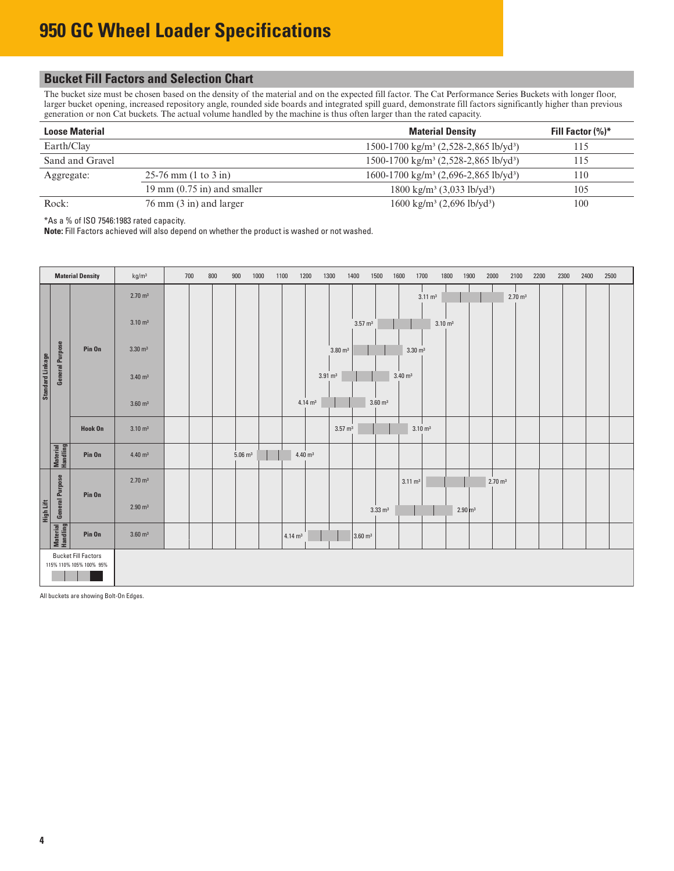# **Bucket Fill Factors and Selection Chart**

The bucket size must be chosen based on the density of the material and on the expected fill factor. The Cat Performance Series Buckets with longer floor, larger bucket opening, increased repository angle, rounded side boards and integrated spill guard, demonstrate fill factors significantly higher than previous generation or non Cat buckets. The actual volume handled by the machine is thus often larger than the rated capacity.

| <b>Loose Material</b> |                                   | <b>Material Density</b>                                       | Fill Factor (%)* |
|-----------------------|-----------------------------------|---------------------------------------------------------------|------------------|
| Earth/Clay            |                                   | 1500-1700 kg/m <sup>3</sup> (2,528-2,865 lb/yd <sup>3</sup> ) | 115              |
| Sand and Gravel       |                                   | 1500-1700 kg/m <sup>3</sup> (2,528-2,865 lb/yd <sup>3</sup> ) | 115              |
| Aggregate:            | $25-76$ mm $(1 to 3 in)$          | 1600-1700 kg/m <sup>3</sup> (2,696-2,865 lb/yd <sup>3</sup> ) | 110              |
|                       | 19 mm $(0.75$ in) and smaller     | $1800 \text{ kg/m}^3$ (3,033 lb/yd <sup>3</sup> )             | 105              |
| Rock:                 | $76 \text{ mm}$ (3 in) and larger | $1600 \text{ kg/m}^3$ (2,696 lb/yd <sup>3</sup> )             | 100              |

\*As a % of ISO 7546:1983 rated capacity.

**Note:** Fill Factors achieved will also depend on whether the product is washed or not washed.

|                         |                        | <b>Material Density</b>                               | kg/m <sup>3</sup>  | 700 | 800 | 900                  | 1000 | 1100               | 1200                   | 1300               | 1400               | 1500               | 1600<br>1700         |                    | 1800                 | 1900 | 2000<br>2100       |                    | 2200 | 2300 | 2400 | 2500 |
|-------------------------|------------------------|-------------------------------------------------------|--------------------|-----|-----|----------------------|------|--------------------|------------------------|--------------------|--------------------|--------------------|----------------------|--------------------|----------------------|------|--------------------|--------------------|------|------|------|------|
|                         |                        |                                                       | $2.70 \text{ m}^3$ |     |     |                      |      |                    |                        |                    |                    |                    |                      | $3.11 \text{ m}^3$ |                      |      |                    | $2.70 \text{ m}^3$ |      |      |      |      |
|                         |                        |                                                       | $3.10 \text{ m}^3$ |     |     |                      |      |                    |                        |                    | $3.57 \text{ m}^3$ |                    |                      | $3.10 \text{ m}^3$ |                      |      |                    |                    |      |      |      |      |
|                         | <b>General Purpose</b> | Pin On                                                | $3.30 \text{ m}^3$ |     |     |                      |      |                    |                        | $3.80 \text{ m}^3$ |                    |                    | $3.30 \text{ m}^3$   |                    |                      |      |                    |                    |      |      |      |      |
| <b>Standard Linkage</b> |                        |                                                       | $3.40 \text{ m}^3$ |     |     |                      |      |                    |                        | $3.91 \text{ m}^3$ |                    |                    | $3.40 \; \text{m}^3$ |                    |                      |      |                    |                    |      |      |      |      |
|                         |                        |                                                       | $3.60 \text{ m}^3$ |     |     |                      |      |                    | $4.14 \text{ m}^3$     |                    |                    | $3.60 \text{ m}^3$ |                      |                    |                      |      |                    |                    |      |      |      |      |
|                         |                        | Hook On                                               | $3.10 \text{ m}^3$ |     |     |                      |      |                    |                        | $3.57 \text{ m}^3$ |                    |                    | $3.10 \text{ m}^3$   |                    |                      |      |                    |                    |      |      |      |      |
|                         | Material<br>Handling   | Pin On                                                | $4.40 \text{ m}^3$ |     |     | $5.06 \; \text{m}^3$ |      |                    | $4.40 \; \mathrm{m}^3$ |                    |                    |                    |                      |                    |                      |      |                    |                    |      |      |      |      |
|                         |                        | Pin On                                                | $2.70 \text{ m}^3$ |     |     |                      |      |                    |                        |                    |                    |                    | $3.11 \text{ m}^3$   |                    |                      |      | $2.70 \text{ m}^3$ |                    |      |      |      |      |
| High Lift               | <b>General Purpose</b> |                                                       | $2.90 \text{ m}^3$ |     |     |                      |      |                    |                        |                    |                    | $3.33 \text{ m}^3$ |                      |                    | $2.90 \, \text{m}^3$ |      |                    |                    |      |      |      |      |
|                         | Material<br>Handling   | Pin On                                                | $3.60 \text{ m}^3$ |     |     |                      |      | $4.14 \text{ m}^3$ |                        |                    | $3.60 \text{ m}^3$ |                    |                      |                    |                      |      |                    |                    |      |      |      |      |
|                         |                        | <b>Bucket Fill Factors</b><br>115% 110% 105% 100% 95% |                    |     |     |                      |      |                    |                        |                    |                    |                    |                      |                    |                      |      |                    |                    |      |      |      |      |

All buckets are showing Bolt-On Edges.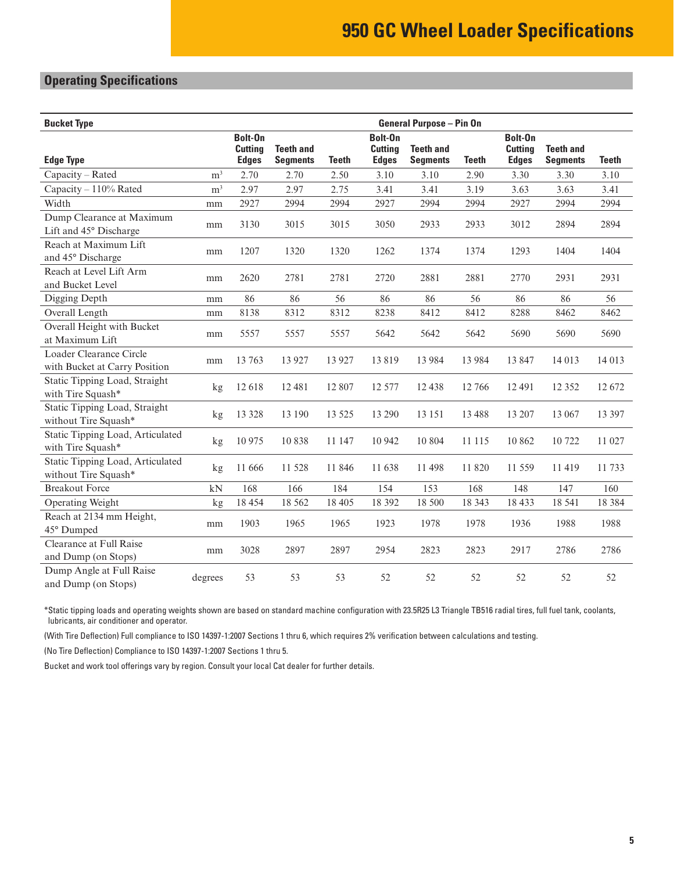# **Operating Specifications**

| <b>Bucket Type</b>                                       |                | <b>General Purpose - Pin On</b>           |                                     |              |                                           |                                     |              |                                           |                                     |              |  |
|----------------------------------------------------------|----------------|-------------------------------------------|-------------------------------------|--------------|-------------------------------------------|-------------------------------------|--------------|-------------------------------------------|-------------------------------------|--------------|--|
| <b>Edge Type</b>                                         |                | Bolt-On<br><b>Cutting</b><br><b>Edges</b> | <b>Teeth and</b><br><b>Segments</b> | <b>Teeth</b> | Bolt-On<br><b>Cutting</b><br><b>Edges</b> | <b>Teeth and</b><br><b>Segments</b> | <b>Teeth</b> | Bolt-On<br><b>Cutting</b><br><b>Edges</b> | <b>Teeth and</b><br><b>Segments</b> | <b>Teeth</b> |  |
| Capacity - Rated                                         | m <sup>3</sup> | 2.70                                      | 2.70                                | 2.50         | 3.10                                      | 3.10                                | 2.90         | 3.30                                      | 3.30                                | 3.10         |  |
| Capacity - 110% Rated                                    | m <sup>3</sup> | 2.97                                      | 2.97                                | 2.75         | 3.41                                      | 3.41                                | 3.19         | 3.63                                      | 3.63                                | 3.41         |  |
| Width                                                    | mm             | 2927                                      | 2994                                | 2994         | 2927                                      | 2994                                | 2994         | 2927                                      | 2994                                | 2994         |  |
| Dump Clearance at Maximum<br>Lift and 45° Discharge      | mm             | 3130                                      | 3015                                | 3015         | 3050                                      | 2933                                | 2933         | 3012                                      | 2894                                | 2894         |  |
| Reach at Maximum Lift<br>and 45° Discharge               | mm             | 1207                                      | 1320                                | 1320         | 1262                                      | 1374                                | 1374         | 1293                                      | 1404                                | 1404         |  |
| Reach at Level Lift Arm<br>and Bucket Level              | mm             | 2620                                      | 2781                                | 2781         | 2720                                      | 2881                                | 2881         | 2770                                      | 2931                                | 2931         |  |
| Digging Depth                                            | mm             | 86                                        | 86                                  | 56           | 86                                        | 86                                  | 56           | 86                                        | 86                                  | 56           |  |
| Overall Length                                           | mm             | 8138                                      | 8312                                | 8312         | 8238                                      | 8412                                | 8412         | 8288                                      | 8462                                | 8462         |  |
| Overall Height with Bucket<br>at Maximum Lift            | mm             | 5557                                      | 5557                                | 5557         | 5642                                      | 5642                                | 5642         | 5690                                      | 5690                                | 5690         |  |
| Loader Clearance Circle<br>with Bucket at Carry Position | mm             | 13 763                                    | 13 9 27                             | 13 9 27      | 13819                                     | 13 9 8 4                            | 13 9 8 4     | 13847                                     | 14 013                              | 14 013       |  |
| Static Tipping Load, Straight<br>with Tire Squash*       | kg             | 12618                                     | 12 481                              | 12 807       | 12 577                                    | 12 4 38                             | 12 766       | 12 4 91                                   | 12 3 5 2                            | 12 672       |  |
| Static Tipping Load, Straight<br>without Tire Squash*    | kg             | 13 328                                    | 13 190                              | 13 5 25      | 13 290                                    | 13 15 1                             | 13 4 8 8     | 13 207                                    | 13 067                              | 13 397       |  |
| Static Tipping Load, Articulated<br>with Tire Squash*    | kg             | 10 975                                    | 10838                               | 11 147       | 10 942                                    | 10 804                              | 11 115       | 10 862                                    | 10722                               | 11 027       |  |
| Static Tipping Load, Articulated<br>without Tire Squash* | kg             | 11 666                                    | 11 528                              | 11 846       | 11 638                                    | 11 498                              | 11 820       | 11 559                                    | 11419                               | 11 733       |  |
| <b>Breakout Force</b>                                    | kN             | 168                                       | 166                                 | 184          | 154                                       | 153                                 | 168          | 148                                       | 147                                 | 160          |  |
| Operating Weight                                         | kg             | 18 4 5 4                                  | 18 5 6 2                            | 18 405       | 18 392                                    | 18 500                              | 18 3 43      | 18 4 33                                   | 18 541                              | 18 3 8 4     |  |
| Reach at 2134 mm Height,<br>45° Dumped                   | mm             | 1903                                      | 1965                                | 1965         | 1923                                      | 1978                                | 1978         | 1936                                      | 1988                                | 1988         |  |
| Clearance at Full Raise<br>and Dump (on Stops)           | mm             | 3028                                      | 2897                                | 2897         | 2954                                      | 2823                                | 2823         | 2917                                      | 2786                                | 2786         |  |
| Dump Angle at Full Raise<br>and Dump (on Stops)          | degrees        | 53                                        | 53                                  | 53           | 52                                        | 52                                  | 52           | 52                                        | 52                                  | 52           |  |

\*Static tipping loads and operating weights shown are based on standard machine configuration with 23.5R25 L3 Triangle TB516 radial tires, full fuel tank, coolants, lubricants, air conditioner and operator.

(With Tire Deflection) Full compliance to ISO 14397-1:2007 Sections 1 thru 6, which requires 2% verification between calculations and testing.

(No Tire Deflection) Compliance to ISO 14397-1:2007 Sections 1 thru 5.

Bucket and work tool offerings vary by region. Consult your local Cat dealer for further details.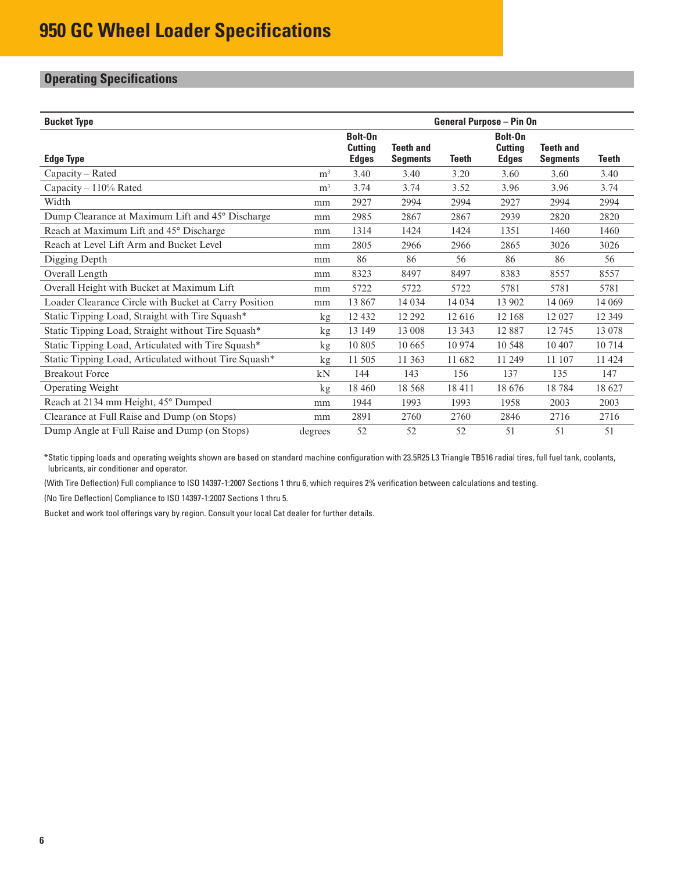# **Operating Specifications**

| <b>Bucket Type</b>                                    |                |                                           | <b>General Purpose – Pin On</b>     |         |                                           |                                     |         |
|-------------------------------------------------------|----------------|-------------------------------------------|-------------------------------------|---------|-------------------------------------------|-------------------------------------|---------|
| <b>Edge Type</b>                                      |                | Bolt-On<br><b>Cutting</b><br><b>Edges</b> | <b>Teeth and</b><br><b>Segments</b> | Teeth   | Bolt-On<br><b>Cutting</b><br><b>Edges</b> | <b>Teeth and</b><br><b>Segments</b> | Teeth   |
| $Capacity - Rated$                                    | m <sup>3</sup> | 3.40                                      | 3.40                                | 3.20    | 3.60                                      | 3.60                                | 3.40    |
| Capacity - 110% Rated                                 | m <sup>3</sup> | 3.74                                      | 3.74                                | 3.52    | 3.96                                      | 3.96                                | 3.74    |
| Width                                                 | mm             | 2927                                      | 2994                                | 2994    | 2927                                      | 2994                                | 2994    |
| Dump Clearance at Maximum Lift and 45° Discharge      | mm             | 2985                                      | 2867                                | 2867    | 2939                                      | 2820                                | 2820    |
| Reach at Maximum Lift and 45° Discharge               | mm             | 1314                                      | 1424                                | 1424    | 1351                                      | 1460                                | 1460    |
| Reach at Level Lift Arm and Bucket Level              | mm             | 2805                                      | 2966                                | 2966    | 2865                                      | 3026                                | 3026    |
| Digging Depth                                         | mm             | 86                                        | 86                                  | 56      | 86                                        | 86                                  | 56      |
| Overall Length                                        | mm             | 8323                                      | 8497                                | 8497    | 8383                                      | 8557                                | 8557    |
| Overall Height with Bucket at Maximum Lift            | mm             | 5722                                      | 5722                                | 5722    | 5781                                      | 5781                                | 5781    |
| Loader Clearance Circle with Bucket at Carry Position | mm             | 13 867                                    | 14 0 34                             | 14 0 34 | 13 902                                    | 14 0 69                             | 14 0 69 |
| Static Tipping Load, Straight with Tire Squash*       | kg             | 12 4 32                                   | 12 29 2                             | 12616   | 12 168                                    | 12027                               | 12 3 49 |
| Static Tipping Load, Straight without Tire Squash*    | kg             | 13 149                                    | 13 008                              | 13 3 43 | 12887                                     | 12745                               | 13 078  |
| Static Tipping Load, Articulated with Tire Squash*    | kg             | 10 805                                    | 10 665                              | 10 974  | 10 548                                    | 10 407                              | 10714   |
| Static Tipping Load, Articulated without Tire Squash* | kg             | 11 505                                    | 11 363                              | 11 682  | 11 249                                    | 11 107                              | 11 424  |
| <b>Breakout Force</b>                                 | kN             | 144                                       | 143                                 | 156     | 137                                       | 135                                 | 147     |
| Operating Weight                                      | kg             | 18 4 6 0                                  | 18 5 68                             | 18411   | 18 676                                    | 18784                               | 18 627  |
| Reach at 2134 mm Height, 45° Dumped                   | mm             | 1944                                      | 1993                                | 1993    | 1958                                      | 2003                                | 2003    |
| Clearance at Full Raise and Dump (on Stops)           | mm             | 2891                                      | 2760                                | 2760    | 2846                                      | 2716                                | 2716    |
| Dump Angle at Full Raise and Dump (on Stops)          | degrees        | 52                                        | 52                                  | 52      | 51                                        | 51                                  | 51      |

\*Static tipping loads and operating weights shown are based on standard machine configuration with 23.5R25 L3 Triangle TB516 radial tires, full fuel tank, coolants, lubricants, air conditioner and operator.

(With Tire Deflection) Full compliance to ISO 14397-1:2007 Sections 1 thru 6, which requires 2% verification between calculations and testing.

(No Tire Deflection) Compliance to ISO 14397-1:2007 Sections 1 thru 5.

Bucket and work tool offerings vary by region. Consult your local Cat dealer for further details.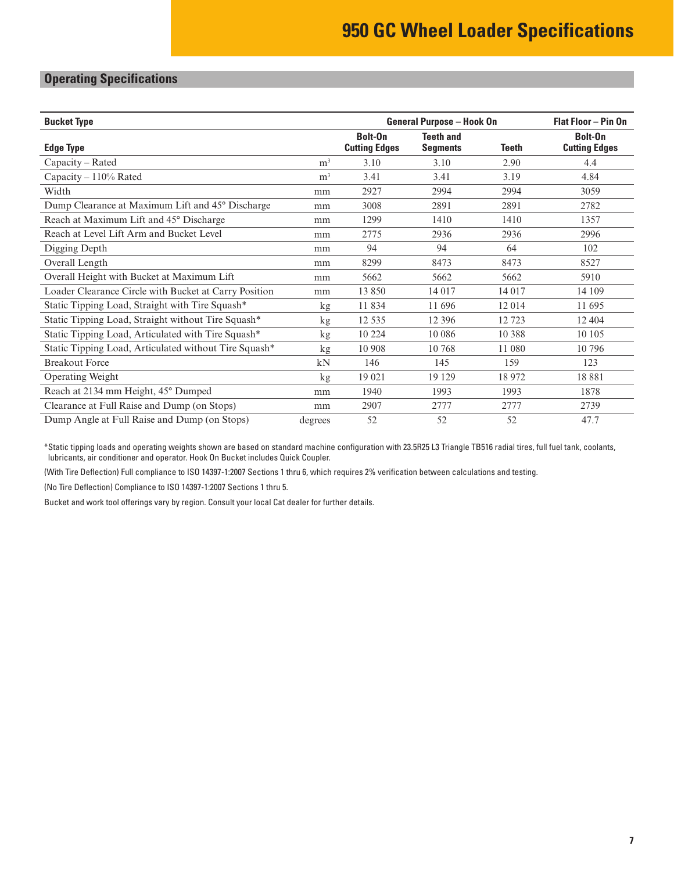# **Operating Specifications**

| <b>Bucket Type</b>                                    |                | <b>General Purpose - Hook On</b><br>Flat Floor - Pin On |                                     |              |                                 |
|-------------------------------------------------------|----------------|---------------------------------------------------------|-------------------------------------|--------------|---------------------------------|
| <b>Edge Type</b>                                      |                | Bolt-On<br><b>Cutting Edges</b>                         | <b>Teeth and</b><br><b>Segments</b> | <b>Teeth</b> | Bolt-On<br><b>Cutting Edges</b> |
| Capacity - Rated                                      | m <sup>3</sup> | 3.10                                                    | 3.10                                | 2.90         | 4.4                             |
| Capacity $-110\%$ Rated                               | m <sup>3</sup> | 3.41                                                    | 3.41                                | 3.19         | 4.84                            |
| Width                                                 | mm             | 2927                                                    | 2994                                | 2994         | 3059                            |
| Dump Clearance at Maximum Lift and 45° Discharge      | mm             | 3008                                                    | 2891                                | 2891         | 2782                            |
| Reach at Maximum Lift and 45° Discharge               | mm             | 1299                                                    | 1410                                | 1410         | 1357                            |
| Reach at Level Lift Arm and Bucket Level              | mm             | 2775                                                    | 2936                                | 2936         | 2996                            |
| Digging Depth                                         | mm             | 94                                                      | 94                                  | 64           | 102                             |
| Overall Length                                        | mm             | 8299                                                    | 8473                                | 8473         | 8527                            |
| Overall Height with Bucket at Maximum Lift            | mm             | 5662                                                    | 5662                                | 5662         | 5910                            |
| Loader Clearance Circle with Bucket at Carry Position | mm             | 13 850                                                  | 14 017                              | 14 017       | 14 109                          |
| Static Tipping Load, Straight with Tire Squash*       | kg             | 11834                                                   | 11 696                              | 12014        | 11 695                          |
| Static Tipping Load, Straight without Tire Squash*    | kg             | 12 5 35                                                 | 12 3 9 6                            | 12 723       | 12 4 04                         |
| Static Tipping Load, Articulated with Tire Squash*    | kg             | 10 224                                                  | 10 0 86                             | 10 388       | 10 10 5                         |
| Static Tipping Load, Articulated without Tire Squash* | kg             | 10 908                                                  | 10 768                              | 11 080       | 10796                           |
| <b>Breakout Force</b>                                 | kN             | 146                                                     | 145                                 | 159          | 123                             |
| Operating Weight                                      | kg             | 19 021                                                  | 19 129                              | 18972        | 18881                           |
| Reach at 2134 mm Height, 45° Dumped                   | mm             | 1940                                                    | 1993                                | 1993         | 1878                            |
| Clearance at Full Raise and Dump (on Stops)           | mm             | 2907                                                    | 2777                                | 2777         | 2739                            |
| Dump Angle at Full Raise and Dump (on Stops)          | degrees        | 52                                                      | 52                                  | 52           | 47.7                            |

\*Static tipping loads and operating weights shown are based on standard machine configuration with 23.5R25 L3 Triangle TB516 radial tires, full fuel tank, coolants, lubricants, air conditioner and operator. Hook On Bucket includes Quick Coupler.

(With Tire Deflection) Full compliance to ISO 14397-1:2007 Sections 1 thru 6, which requires 2% verification between calculations and testing.

(No Tire Deflection) Compliance to ISO 14397-1:2007 Sections 1 thru 5.

Bucket and work tool offerings vary by region. Consult your local Cat dealer for further details.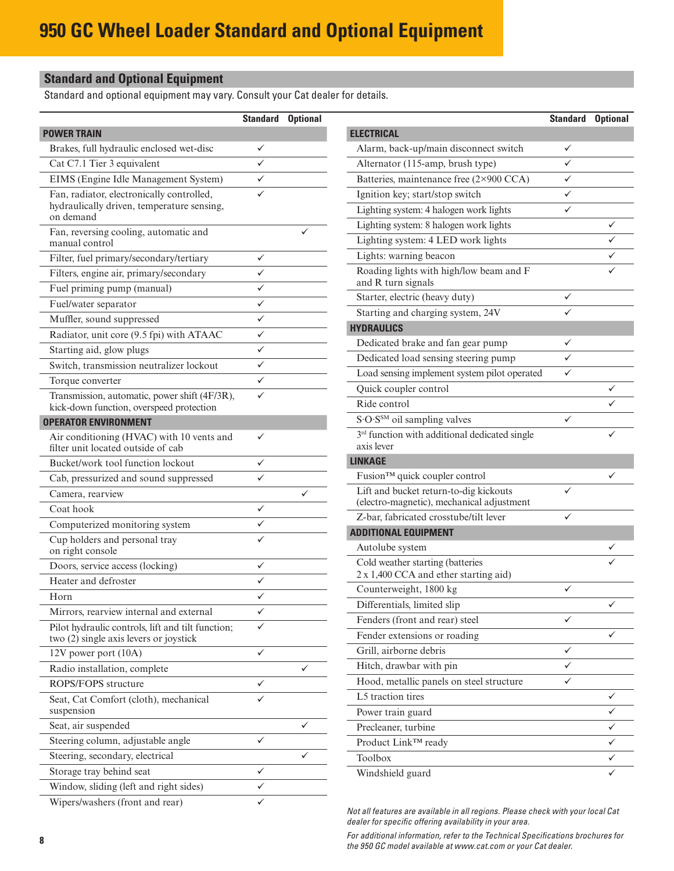# **Standard and Optional Equipment**

Standard and optional equipment may vary. Consult your Cat dealer for details.

|                                                                                             | <b>Standard</b>   | <b>Optional</b> |                                                                                     | <b>Standard Optional</b> |   |
|---------------------------------------------------------------------------------------------|-------------------|-----------------|-------------------------------------------------------------------------------------|--------------------------|---|
| <b>POWER TRAIN</b>                                                                          |                   |                 | <b>ELECTRICAL</b>                                                                   |                          |   |
| Brakes, full hydraulic enclosed wet-disc                                                    | ✓                 |                 | Alarm, back-up/main disconnect switch                                               | ✓                        |   |
| Cat C7.1 Tier 3 equivalent                                                                  | $\checkmark$      |                 | Alternator (115-amp, brush type)                                                    | ✓                        |   |
| EIMS (Engine Idle Management System)                                                        | $\checkmark$      |                 | Batteries, maintenance free (2×900 CCA)                                             | $\checkmark$             |   |
| Fan, radiator, electronically controlled,                                                   | ✓                 |                 | Ignition key; start/stop switch                                                     | ✓                        |   |
| hydraulically driven, temperature sensing,                                                  |                   |                 | Lighting system: 4 halogen work lights                                              | $\checkmark$             |   |
| on demand                                                                                   |                   | ✓               | Lighting system: 8 halogen work lights                                              |                          | ✓ |
| Fan, reversing cooling, automatic and<br>manual control                                     |                   |                 | Lighting system: 4 LED work lights                                                  |                          | ✓ |
| Filter, fuel primary/secondary/tertiary                                                     | $\checkmark$      |                 | Lights: warning beacon                                                              |                          | ✓ |
| Filters, engine air, primary/secondary                                                      | ✓                 |                 | Roading lights with high/low beam and F                                             |                          | ✓ |
| Fuel priming pump (manual)                                                                  | $\checkmark$      |                 | and R turn signals                                                                  |                          |   |
| Fuel/water separator                                                                        | $\checkmark$      |                 | Starter, electric (heavy duty)                                                      | ✓                        |   |
| Muffler, sound suppressed                                                                   | $\checkmark$      |                 | Starting and charging system, 24V                                                   | ✓                        |   |
| Radiator, unit core (9.5 fpi) with ATAAC                                                    | $\checkmark$      |                 | <b>HYDRAULICS</b>                                                                   |                          |   |
| Starting aid, glow plugs                                                                    | $\checkmark$      |                 | Dedicated brake and fan gear pump                                                   | ✓                        |   |
| Switch, transmission neutralizer lockout                                                    | $\checkmark$      |                 | Dedicated load sensing steering pump                                                | ✓                        |   |
| Torque converter                                                                            | $\checkmark$      |                 | Load sensing implement system pilot operated                                        | ✓                        |   |
| Transmission, automatic, power shift (4F/3R),                                               | ✓                 |                 | Quick coupler control                                                               |                          | ✓ |
| kick-down function, overspeed protection                                                    |                   |                 | Ride control                                                                        |                          | ✓ |
| <b>OPERATOR ENVIRONMENT</b>                                                                 |                   |                 | S.O.S <sup>SM</sup> oil sampling valves                                             | $\checkmark$             |   |
| Air conditioning (HVAC) with 10 vents and<br>filter unit located outside of cab             | $\checkmark$      |                 | 3 <sup>rd</sup> function with additional dedicated single<br>axis lever             |                          | ✓ |
| Bucket/work tool function lockout                                                           | $\checkmark$      |                 | <b>LINKAGE</b>                                                                      |                          |   |
| Cab, pressurized and sound suppressed                                                       | ✓                 |                 | Fusion™ quick coupler control                                                       |                          |   |
| Camera, rearview                                                                            |                   | $\checkmark$    | Lift and bucket return-to-dig kickouts                                              | $\checkmark$             |   |
| Coat hook                                                                                   | ✓                 |                 | (electro-magnetic), mechanical adjustment<br>Z-bar, fabricated crosstube/tilt lever | $\checkmark$             |   |
| Computerized monitoring system                                                              | ✓                 |                 | <b>ADDITIONAL EQUIPMENT</b>                                                         |                          |   |
| Cup holders and personal tray                                                               | ✓                 |                 | Autolube system                                                                     |                          | ✓ |
| on right console                                                                            |                   |                 | Cold weather starting (batteries                                                    |                          |   |
| Doors, service access (locking)                                                             | ✓<br>$\checkmark$ |                 | 2 x 1,400 CCA and ether starting aid)                                               |                          |   |
| Heater and defroster                                                                        | ✓                 |                 | Counterweight, 1800 kg                                                              | ✓                        |   |
| Horn                                                                                        | ✓                 |                 | Differentials, limited slip                                                         |                          | ✓ |
| Mirrors, rearview internal and external                                                     | ✓                 |                 | Fenders (front and rear) steel                                                      | ✓                        |   |
| Pilot hydraulic controls, lift and tilt function;<br>two (2) single axis levers or joystick |                   |                 | Fender extensions or roading                                                        |                          | ✓ |
| 12V power port (10A)                                                                        | $\checkmark$      |                 | Grill, airborne debris                                                              | ✓                        |   |
| Radio installation, complete                                                                |                   | ✓               | Hitch, drawbar with pin                                                             | ✓                        |   |
| ROPS/FOPS structure                                                                         | ✓                 |                 | Hood, metallic panels on steel structure                                            | $\checkmark$             |   |
| Seat, Cat Comfort (cloth), mechanical                                                       | $\checkmark$      |                 | L5 traction tires                                                                   |                          | ✓ |
| suspension                                                                                  |                   |                 | Power train guard                                                                   |                          | ✓ |
| Seat, air suspended                                                                         |                   | ✓               | Precleaner, turbine                                                                 |                          | ✓ |
| Steering column, adjustable angle                                                           | $\checkmark$      |                 | Product Link <sup>™</sup> ready                                                     |                          | ✓ |
| Steering, secondary, electrical                                                             |                   | ✓               | Toolbox                                                                             |                          | ✓ |
| Storage tray behind seat                                                                    | $\checkmark$      |                 | Windshield guard                                                                    |                          | ✓ |
| Window, sliding (left and right sides)                                                      | $\checkmark$      |                 |                                                                                     |                          |   |
| Wipers/washers (front and rear)                                                             | ✓                 |                 | Not all features are available in all regions. Please check with your local Cat     |                          |   |

*dealer for specific offering availability in your area. For additional information, refer to the Technical Specifications brochures for the 950 GC model available at www.cat.com or your Cat dealer.*

 $\overline{\phantom{a}}$  $\overline{\phantom{0}}$